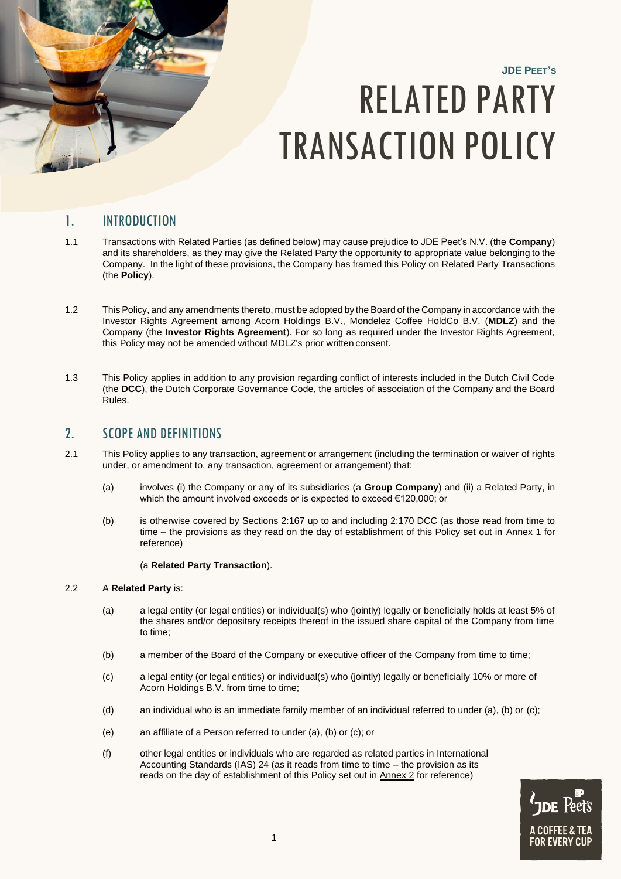

# **JDE PEET'S** RELATED PARTY TRANSACTION POLICY

# 1. INTRODUCTION

- 1.1 Transactions with Related Parties (as defined below) may cause prejudice to JDE Peet's N.V. (the **Company**) and its shareholders, as they may give the Related Party the opportunity to appropriate value belonging to the Company. In the light of these provisions, the Company has framed this Policy on Related Party Transactions (the **Policy**).
- 1.2 This Policy, and any amendments thereto, must be adopted by the Board of the Company in accordance with the Investor Rights Agreement among Acorn Holdings B.V., Mondelez Coffee HoldCo B.V. (**MDLZ**) and the Company (the **Investor Rights Agreement**). For so long as required under the Investor Rights Agreement, this Policy may not be amended without MDLZ's prior written consent.
- 1.3 This Policy applies in addition to any provision regarding conflict of interests included in the Dutch Civil Code (the **DCC**), the Dutch Corporate Governance Code, the articles of association of the Company and the Board Rules.

## 2. SCOPE AND DEFINITIONS

- 2.1 This Policy applies to any transaction, agreement or arrangement (including the termination or waiver of rights under, or amendment to, any transaction, agreement or arrangement) that:
	- (a) involves (i) the Company or any of its subsidiaries (a **Group Company**) and (ii) a Related Party, in which the amount involved exceeds or is expected to exceed €120,000; or
	- (b) is otherwise covered by Sections 2:167 up to and including 2:170 DCC (as those read from time to time – the provisions as they read on the day of establishment of this Policy set out in Annex 1 for reference)

#### (a **Related Party Transaction**).

#### 2.2 A **Related Party** is:

- (a) a legal entity (or legal entities) or individual(s) who (jointly) legally or beneficially holds at least 5% of the shares and/or depositary receipts thereof in the issued share capital of the Company from time to time;
- (b) a member of the Board of the Company or executive officer of the Company from time to time;
- (c) a legal entity (or legal entities) or individual(s) who (jointly) legally or beneficially 10% or more of Acorn Holdings B.V. from time to time;
- (d) an individual who is an immediate family member of an individual referred to under (a), (b) or (c);
- (e) an affiliate of a Person referred to under (a), (b) or (c); or
- (f) other legal entities or individuals who are regarded as related parties in International Accounting Standards (IAS) 24 (as it reads from time to time – the provision as its reads on the day of establishment of this Policy set out in Annex 2 for reference)

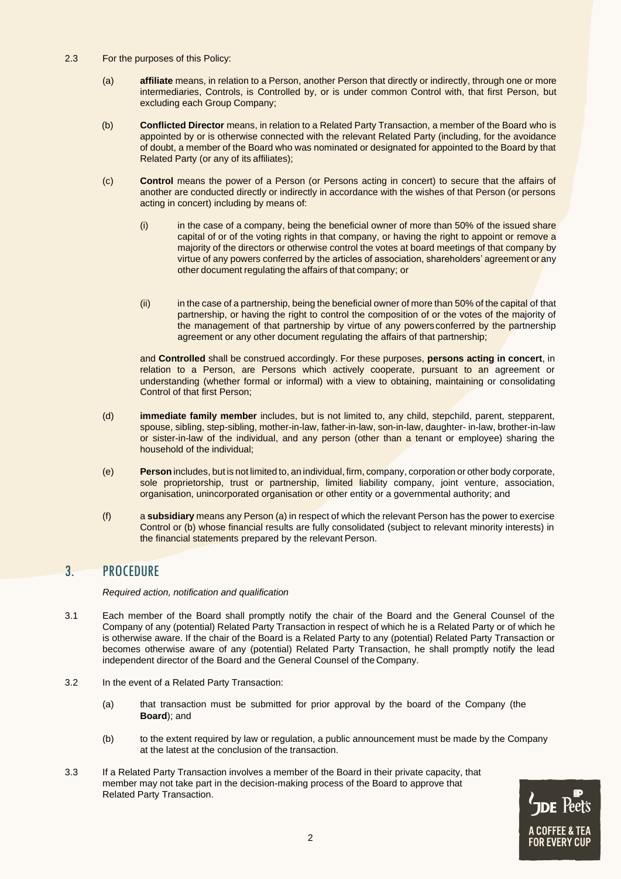- 2.3 For the purposes of this Policy:
	- (a) **affiliate** means, in relation to a Person, another Person that directly or indirectly, through one or more intermediaries, Controls, is Controlled by, or is under common Control with, that first Person, but excluding each Group Company;
	- (b) **Conflicted Director** means, in relation to a Related Party Transaction, a member of the Board who is appointed by or is otherwise connected with the relevant Related Party (including, for the avoidance of doubt, a member of the Board who was nominated or designated for appointed to the Board by that Related Party (or any of its affiliates);
	- (c) **Control** means the power of a Person (or Persons acting in concert) to secure that the affairs of another are conducted directly or indirectly in accordance with the wishes of that Person (or persons acting in concert) including by means of:
		- (i) in the case of a company, being the beneficial owner of more than 50% of the issued share capital of or of the voting rights in that company, or having the right to appoint or remove a majority of the directors or otherwise control the votes at board meetings of that company by virtue of any powers conferred by the articles of association, shareholders' agreement or any other document regulating the affairs of that company; or
		- (ii) in the case of a partnership, being the beneficial owner of more than 50% of the capital of that partnership, or having the right to control the composition of or the votes of the majority of the management of that partnership by virtue of any powers conferred by the partnership agreement or any other document regulating the affairs of that partnership;

and **Controlled** shall be construed accordingly. For these purposes, **persons acting in concert**, in relation to a Person, are Persons which actively cooperate, pursuant to an agreement or understanding (whether formal or informal) with a view to obtaining, maintaining or consolidating Control of that first Person;

- (d) **immediate family member** includes, but is not limited to, any child, stepchild, parent, stepparent, spouse, sibling, step-sibling, mother-in-law, father-in-law, son-in-law, daughter- in-law, brother-in-law or sister-in-law of the individual, and any person (other than a tenant or employee) sharing the household of the individual;
- (e) **Person** includes, but is not limited to, an individual, firm, company, corporation or other body corporate, sole proprietorship, trust or partnership, limited liability company, joint venture, association, organisation, unincorporated organisation or other entity or a governmental authority; and
- (f) a **subsidiary** means any Person (a) in respect of which the relevant Person has the power to exercise Control or (b) whose financial results are fully consolidated (subject to relevant minority interests) in the financial statements prepared by the relevant Person.

## 3. PROCEDURE

*Required action, notification and qualification*

- 3.1 Each member of the Board shall promptly notify the chair of the Board and the General Counsel of the Company of any (potential) Related Party Transaction in respect of which he is a Related Party or of which he is otherwise aware. If the chair of the Board is a Related Party to any (potential) Related Party Transaction or becomes otherwise aware of any (potential) Related Party Transaction, he shall promptly notify the lead independent director of the Board and the General Counsel of the Company.
- 3.2 In the event of a Related Party Transaction:
	- (a) that transaction must be submitted for prior approval by the board of the Company (the **Board**); and
	- (b) to the extent required by law or regulation, a public announcement must be made by the Company at the latest at the conclusion of the transaction.
- 3.3 If a Related Party Transaction involves a member of the Board in their private capacity, that member may not take part in the decision-making process of the Board to approve that Related Party Transaction.

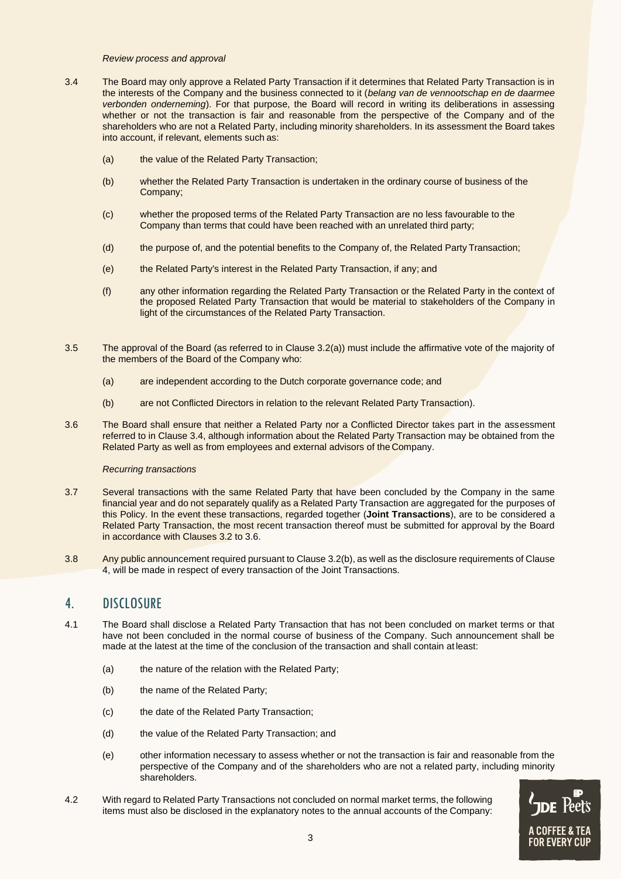#### *Review process and approval*

- 3.4 The Board may only approve a Related Party Transaction if it determines that Related Party Transaction is in the interests of the Company and the business connected to it (*belang van de vennootschap en de daarmee verbonden onderneming*). For that purpose, the Board will record in writing its deliberations in assessing whether or not the transaction is fair and reasonable from the perspective of the Company and of the shareholders who are not a Related Party, including minority shareholders. In its assessment the Board takes into account, if relevant, elements such as:
	- (a) the value of the Related Party Transaction;
	- (b) whether the Related Party Transaction is undertaken in the ordinary course of business of the Company;
	- (c) whether the proposed terms of the Related Party Transaction are no less favourable to the Company than terms that could have been reached with an unrelated third party;
	- (d) the purpose of, and the potential benefits to the Company of, the Related Party Transaction;
	- (e) the Related Party's interest in the Related Party Transaction, if any; and
	- (f) any other information regarding the Related Party Transaction or the Related Party in the context of the proposed Related Party Transaction that would be material to stakeholders of the Company in light of the circumstances of the Related Party Transaction.
- 3.5 The approval of the Board (as referred to in Clause 3.2(a)) must include the affirmative vote of the majority of the members of the Board of the Company who:
	- (a) are independent according to the Dutch corporate governance code; and
	- (b) are not Conflicted Directors in relation to the relevant Related Party Transaction).
- 3.6 The Board shall ensure that neither a Related Party nor a Conflicted Director takes part in the assessment referred to in Clause 3.4, although information about the Related Party Transaction may be obtained from the Related Party as well as from employees and external advisors of the Company.

#### *Recurring transactions*

- 3.7 Several transactions with the same Related Party that have been concluded by the Company in the same financial year and do not separately qualify as a Related Party Transaction are aggregated for the purposes of this Policy. In the event these transactions, regarded together (**Joint Transactions**), are to be considered a Related Party Transaction, the most recent transaction thereof must be submitted for approval by the Board in accordance with Clauses 3.2 to 3.6.
- 3.8 Any public announcement required pursuant to Clause 3.2(b), as well as the disclosure requirements of Clause 4, will be made in respect of every transaction of the Joint Transactions.

## 4. DISCLOSURE

- 4.1 The Board shall disclose a Related Party Transaction that has not been concluded on market terms or that have not been concluded in the normal course of business of the Company. Such announcement shall be made at the latest at the time of the conclusion of the transaction and shall contain at least:
	- (a) the nature of the relation with the Related Party;
	- (b) the name of the Related Party;
	- (c) the date of the Related Party Transaction;
	- (d) the value of the Related Party Transaction; and
	- (e) other information necessary to assess whether or not the transaction is fair and reasonable from the perspective of the Company and of the shareholders who are not a related party, including minority shareholders.
- 4.2 With regard to Related Party Transactions not concluded on normal market terms, the following items must also be disclosed in the explanatory notes to the annual accounts of the Company:

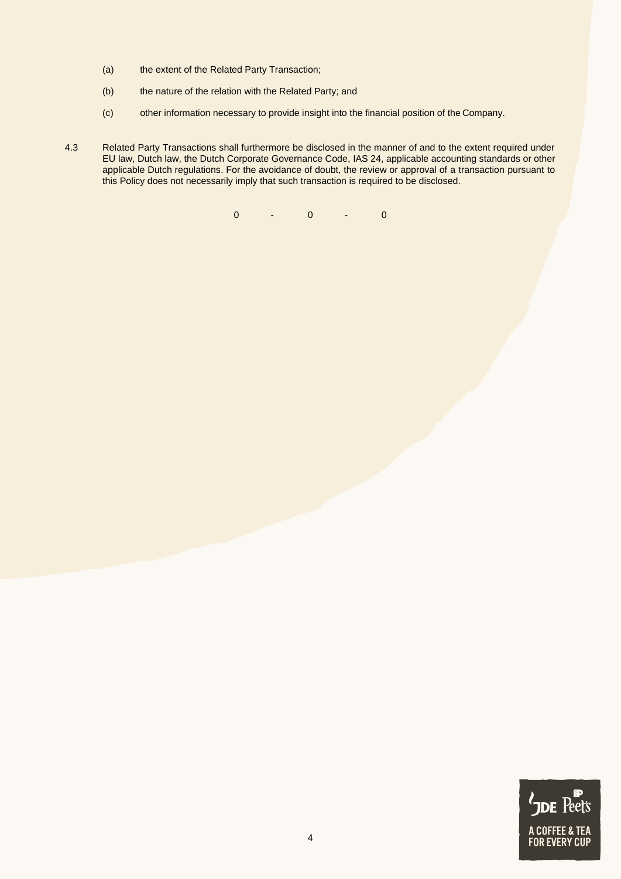- (a) the extent of the Related Party Transaction;
- (b) the nature of the relation with the Related Party; and
- (c) other information necessary to provide insight into the financial position of the Company.
- 4.3 Related Party Transactions shall furthermore be disclosed in the manner of and to the extent required under EU law, Dutch law, the Dutch Corporate Governance Code, IAS 24, applicable accounting standards or other applicable Dutch regulations. For the avoidance of doubt, the review or approval of a transaction pursuant to this Policy does not necessarily imply that such transaction is required to be disclosed.

0 - 0 - 0

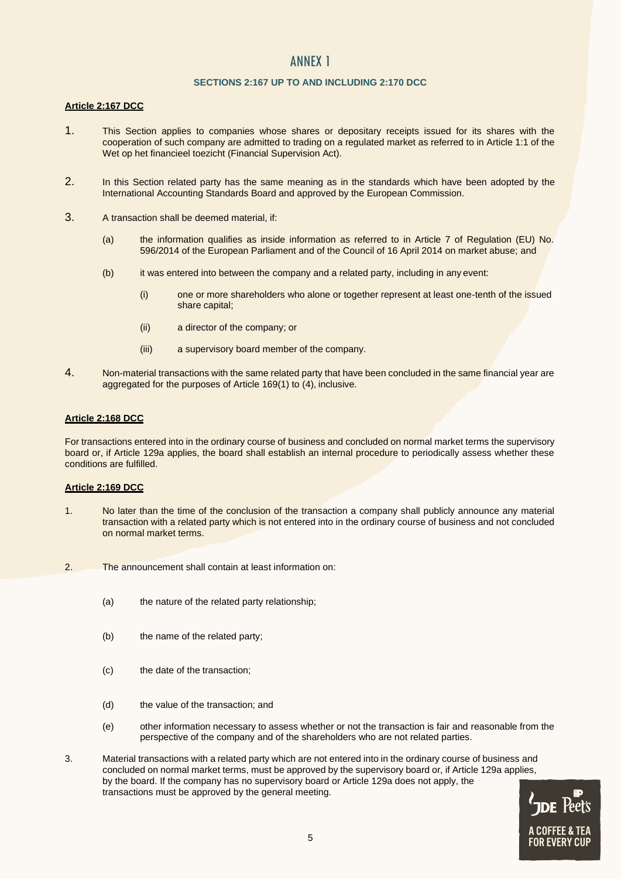## ANNEX 1

#### **SECTIONS 2:167 UP TO AND INCLUDING 2:170 DCC**

#### **Article 2:167 DCC**

- 1. This Section applies to companies whose shares or depositary receipts issued for its shares with the cooperation of such company are admitted to trading on a regulated market as referred to in Article 1:1 of the Wet op het financieel toezicht (Financial Supervision Act).
- 2. In this Section related party has the same meaning as in the standards which have been adopted by the International Accounting Standards Board and approved by the European Commission.
- 3. A transaction shall be deemed material, if:
	- (a) the information qualifies as inside information as referred to in Article 7 of Regulation (EU) No. 596/2014 of the European Parliament and of the Council of 16 April 2014 on market abuse; and
	- (b) it was entered into between the company and a related party, including in any event:
		- (i) one or more shareholders who alone or together represent at least one-tenth of the issued share capital;
		- (ii) a director of the company; or
		- (iii) a supervisory board member of the company.
- 4. Non-material transactions with the same related party that have been concluded in the same financial year are aggregated for the purposes of Article 169(1) to (4), inclusive.

#### **Article 2:168 DCC**

For transactions entered into in the ordinary course of business and concluded on normal market terms the supervisory board or, if Article 129a applies, the board shall establish an internal procedure to periodically assess whether these conditions are fulfilled.

#### **Article 2:169 DCC**

- 1. No later than the time of the conclusion of the transaction a company shall publicly announce any material transaction with a related party which is not entered into in the ordinary course of business and not concluded on normal market terms.
- 2. The announcement shall contain at least information on:
	- (a) the nature of the related party relationship;
	- (b) the name of the related party;
	- (c) the date of the transaction;
	- (d) the value of the transaction; and
	- (e) other information necessary to assess whether or not the transaction is fair and reasonable from the perspective of the company and of the shareholders who are not related parties.
- 3. Material transactions with a related party which are not entered into in the ordinary course of business and concluded on normal market terms, must be approved by the supervisory board or, if Article 129a applies, by the board. If the company has no supervisory board or Article 129a does not apply, the transactions must be approved by the general meeting.

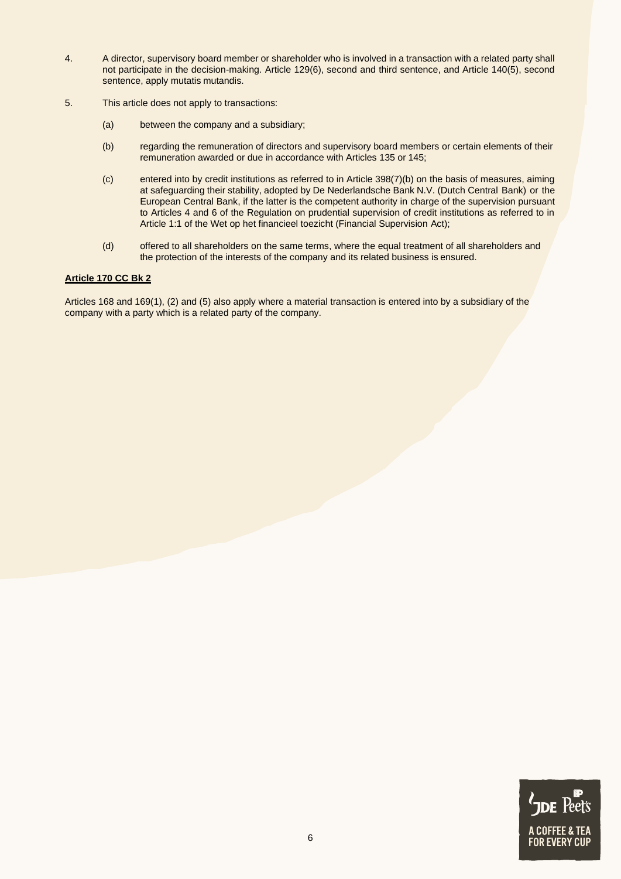- 4. A director, supervisory board member or shareholder who is involved in a transaction with a related party shall not participate in the decision-making. Article 129(6), second and third sentence, and Article 140(5), second sentence, apply mutatis mutandis.
- 5. This article does not apply to transactions:
	- (a) between the company and a subsidiary;
	- (b) regarding the remuneration of directors and supervisory board members or certain elements of their remuneration awarded or due in accordance with Articles 135 or 145;
	- (c) entered into by credit institutions as referred to in Article 398(7)(b) on the basis of measures, aiming at safeguarding their stability, adopted by De Nederlandsche Bank N.V. (Dutch Central Bank) or the European Central Bank, if the latter is the competent authority in charge of the supervision pursuant to Articles 4 and 6 of the Regulation on prudential supervision of credit institutions as referred to in Article 1:1 of the Wet op het financieel toezicht (Financial Supervision Act);
	- (d) offered to all shareholders on the same terms, where the equal treatment of all shareholders and the protection of the interests of the company and its related business is ensured.

#### **Article 170 CC Bk 2**

Articles 168 and 169(1), (2) and (5) also apply where a material transaction is entered into by a subsidiary of the company with a party which is a related party of the company.